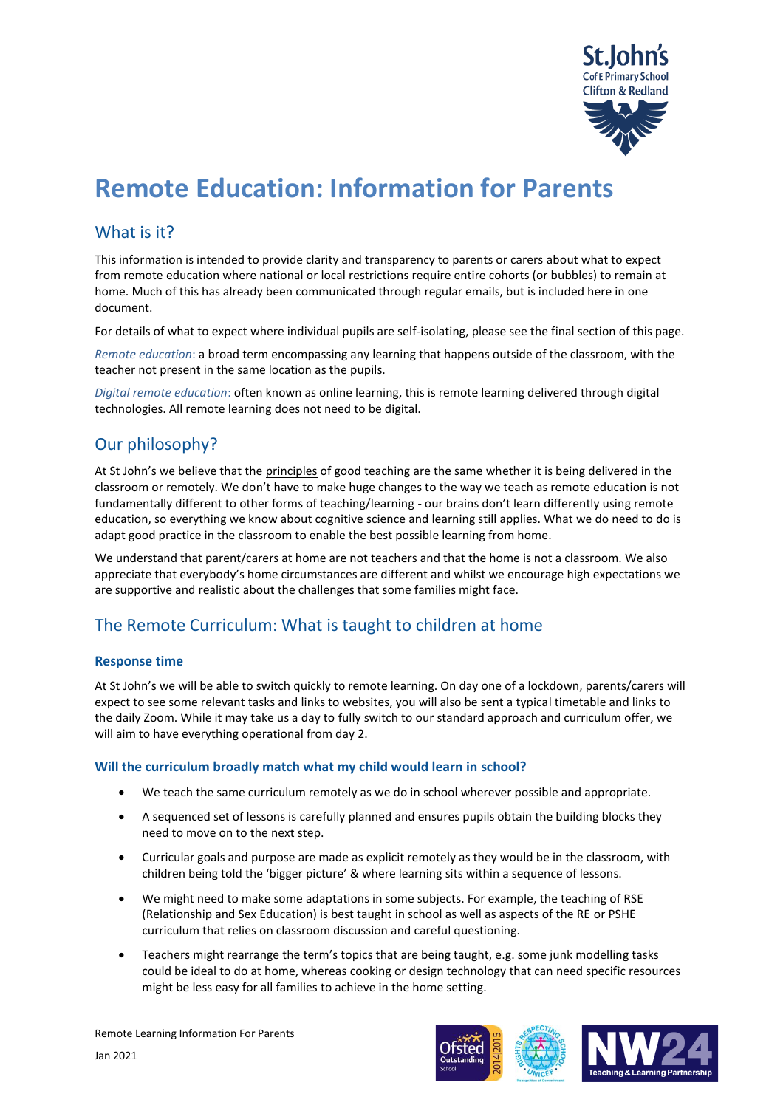

# **Remote Education: Information for Parents**

# What is it?

This information is intended to provide clarity and transparency to parents or carers about what to expect from remote education where national or local restrictions require entire cohorts (or bubbles) to remain at home. Much of this has already been communicated through regular emails, but is included here in one document.

For details of what to expect where individual pupils are self-isolating, please see the final section of this page.

*Remote education*: a broad term encompassing any learning that happens outside of the classroom, with the teacher not present in the same location as the pupils.

*Digital remote education*: often known as online learning, this is remote learning delivered through digital technologies. All remote learning does not need to be digital.

# Our philosophy?

At St John's we believe that the principles of good teaching are the same whether it is being delivered in the classroom or remotely. We don't have to make huge changes to the way we teach as remote education is not fundamentally different to other forms of teaching/learning - our brains don't learn differently using remote education, so everything we know about cognitive science and learning still applies. What we do need to do is adapt good practice in the classroom to enable the best possible learning from home.

We understand that parent/carers at home are not teachers and that the home is not a classroom. We also appreciate that everybody's home circumstances are different and whilst we encourage high expectations we are supportive and realistic about the challenges that some families might face.

# The Remote Curriculum: What is taught to children at home

### **Response time**

At St John's we will be able to switch quickly to remote learning. On day one of a lockdown, parents/carers will expect to see some relevant tasks and links to websites, you will also be sent a typical timetable and links to the daily Zoom. While it may take us a day to fully switch to our standard approach and curriculum offer, we will aim to have everything operational from day 2.

#### **Will the curriculum broadly match what my child would learn in school?**

- We teach the same curriculum remotely as we do in school wherever possible and appropriate.
- A sequenced set of lessons is carefully planned and ensures pupils obtain the building blocks they need to move on to the next step.
- Curricular goals and purpose are made as explicit remotely as they would be in the classroom, with children being told the 'bigger picture' & where learning sits within a sequence of lessons.
- We might need to make some adaptations in some subjects. For example, the teaching of RSE (Relationship and Sex Education) is best taught in school as well as aspects of the RE or PSHE curriculum that relies on classroom discussion and careful questioning.
- Teachers might rearrange the term's topics that are being taught, e.g. some junk modelling tasks could be ideal to do at home, whereas cooking or design technology that can need specific resources might be less easy for all families to achieve in the home setting.





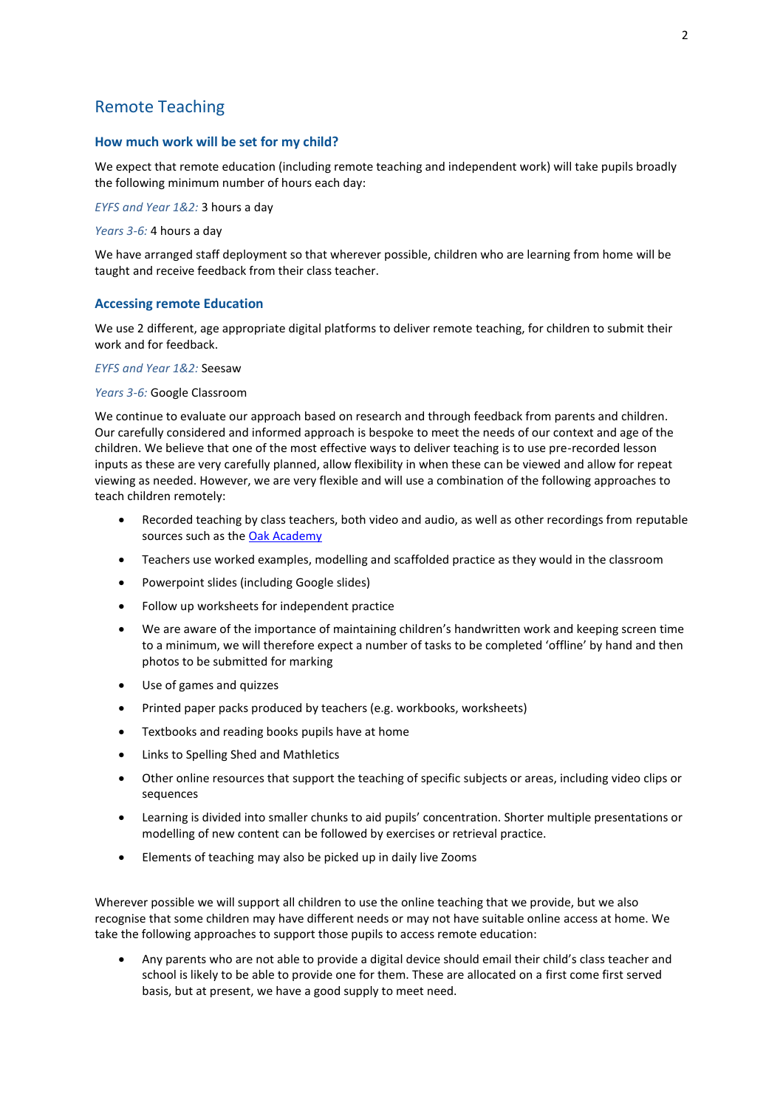### Remote Teaching

#### **How much work will be set for my child?**

We expect that remote education (including remote teaching and independent work) will take pupils broadly the following minimum number of hours each day:

*EYFS and Year 1&2:* 3 hours a day

*Years 3-6:* 4 hours a day

We have arranged staff deployment so that wherever possible, children who are learning from home will be taught and receive feedback from their class teacher.

#### **Accessing remote Education**

We use 2 different, age appropriate digital platforms to deliver remote teaching, for children to submit their work and for feedback.

#### *EYFS and Year 1&2:* Seesaw

#### *Years 3-6:* Google Classroom

We continue to evaluate our approach based on research and through feedback from parents and children. Our carefully considered and informed approach is bespoke to meet the needs of our context and age of the children. We believe that one of the most effective ways to deliver teaching is to use pre-recorded lesson inputs as these are very carefully planned, allow flexibility in when these can be viewed and allow for repeat viewing as needed. However, we are very flexible and will use a combination of the following approaches to teach children remotely:

- Recorded teaching by class teachers, both video and audio, as well as other recordings from reputable sources such as the [Oak Academy](https://www.thenational.academy/about-oak)
- Teachers use worked examples, modelling and scaffolded practice as they would in the classroom
- Powerpoint slides (including Google slides)
- Follow up worksheets for independent practice
- We are aware of the importance of maintaining children's handwritten work and keeping screen time to a minimum, we will therefore expect a number of tasks to be completed 'offline' by hand and then photos to be submitted for marking
- Use of games and quizzes
- Printed paper packs produced by teachers (e.g. workbooks, worksheets)
- Textbooks and reading books pupils have at home
- Links to Spelling Shed and Mathletics
- Other online resources that support the teaching of specific subjects or areas, including video clips or sequences
- Learning is divided into smaller chunks to aid pupils' concentration. Shorter multiple presentations or modelling of new content can be followed by exercises or retrieval practice.
- Elements of teaching may also be picked up in daily live Zooms

Wherever possible we will support all children to use the online teaching that we provide, but we also recognise that some children may have different needs or may not have suitable online access at home. We take the following approaches to support those pupils to access remote education:

• Any parents who are not able to provide a digital device should email their child's class teacher and school is likely to be able to provide one for them. These are allocated on a first come first served basis, but at present, we have a good supply to meet need.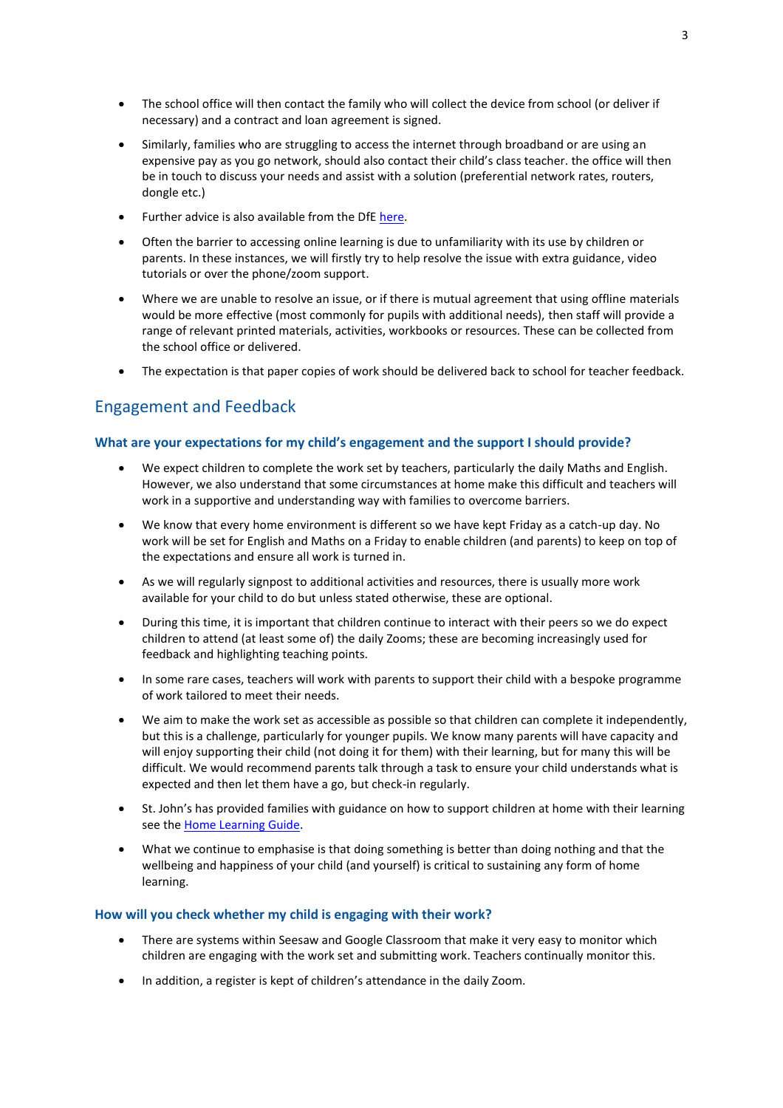- The school office will then contact the family who will collect the device from school (or deliver if necessary) and a contract and loan agreement is signed.
- Similarly, families who are struggling to access the internet through broadband or are using an expensive pay as you go network, should also contact their child's class teacher. the office will then be in touch to discuss your needs and assist with a solution (preferential network rates, routers, dongle etc.)
- Further advice is also available from the Df[E here.](https://get-help-with-tech.education.gov.uk/internet-access)
- Often the barrier to accessing online learning is due to unfamiliarity with its use by children or parents. In these instances, we will firstly try to help resolve the issue with extra guidance, video tutorials or over the phone/zoom support.
- Where we are unable to resolve an issue, or if there is mutual agreement that using offline materials would be more effective (most commonly for pupils with additional needs), then staff will provide a range of relevant printed materials, activities, workbooks or resources. These can be collected from the school office or delivered.
- The expectation is that paper copies of work should be delivered back to school for teacher feedback.

## Engagement and Feedback

#### **What are your expectations for my child's engagement and the support I should provide?**

- We expect children to complete the work set by teachers, particularly the daily Maths and English. However, we also understand that some circumstances at home make this difficult and teachers will work in a supportive and understanding way with families to overcome barriers.
- We know that every home environment is different so we have kept Friday as a catch-up day. No work will be set for English and Maths on a Friday to enable children (and parents) to keep on top of the expectations and ensure all work is turned in.
- As we will regularly signpost to additional activities and resources, there is usually more work available for your child to do but unless stated otherwise, these are optional.
- During this time, it is important that children continue to interact with their peers so we do expect children to attend (at least some of) the daily Zooms; these are becoming increasingly used for feedback and highlighting teaching points.
- In some rare cases, teachers will work with parents to support their child with a bespoke programme of work tailored to meet their needs.
- We aim to make the work set as accessible as possible so that children can complete it independently, but this is a challenge, particularly for younger pupils. We know many parents will have capacity and will enjoy supporting their child (not doing it for them) with their learning, but for many this will be difficult. We would recommend parents talk through a task to ensure your child understands what is expected and then let them have a go, but check-in regularly.
- St. John's has provided families with guidance on how to support children at home with their learning see the [Home Learning Guide.](https://drive.google.com/file/d/13sT984M5c3LwDzDu8tjj4hm2C06Szx3M/view?usp=sharing)
- What we continue to emphasise is that doing something is better than doing nothing and that the wellbeing and happiness of your child (and yourself) is critical to sustaining any form of home learning.

#### **How will you check whether my child is engaging with their work?**

- There are systems within Seesaw and Google Classroom that make it very easy to monitor which children are engaging with the work set and submitting work. Teachers continually monitor this.
- In addition, a register is kept of children's attendance in the daily Zoom.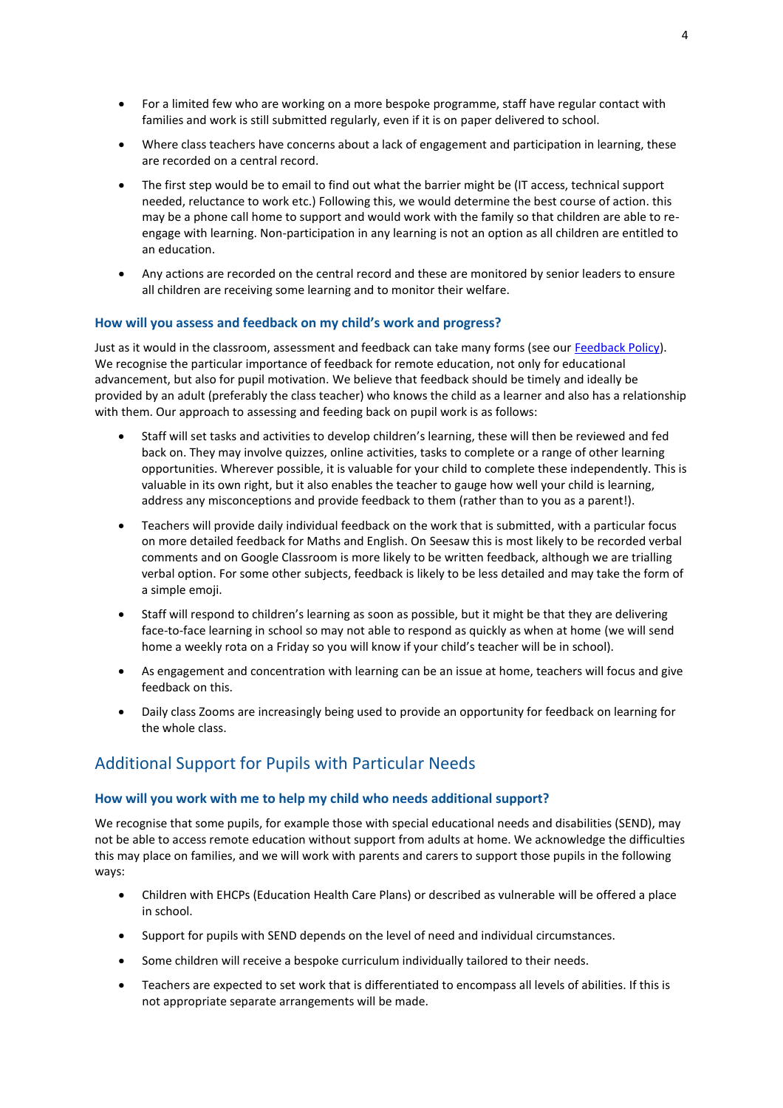- For a limited few who are working on a more bespoke programme, staff have regular contact with families and work is still submitted regularly, even if it is on paper delivered to school.
- Where class teachers have concerns about a lack of engagement and participation in learning, these are recorded on a central record.
- The first step would be to email to find out what the barrier might be (IT access, technical support needed, reluctance to work etc.) Following this, we would determine the best course of action. this may be a phone call home to support and would work with the family so that children are able to reengage with learning. Non-participation in any learning is not an option as all children are entitled to an education.
- Any actions are recorded on the central record and these are monitored by senior leaders to ensure all children are receiving some learning and to monitor their welfare.

#### **How will you assess and feedback on my child's work and progress?**

Just as it would in the classroom, assessment and feedback can take many forms (see ou[r Feedback Policy\)](https://www.stjohnsprimary.org.uk/wp-content/uploads/2020/12/Feedback-Policy.pdf). We recognise the particular importance of feedback for remote education, not only for educational advancement, but also for pupil motivation. We believe that feedback should be timely and ideally be provided by an adult (preferably the class teacher) who knows the child as a learner and also has a relationship with them. Our approach to assessing and feeding back on pupil work is as follows:

- Staff will set tasks and activities to develop children's learning, these will then be reviewed and fed back on. They may involve quizzes, online activities, tasks to complete or a range of other learning opportunities. Wherever possible, it is valuable for your child to complete these independently. This is valuable in its own right, but it also enables the teacher to gauge how well your child is learning, address any misconceptions and provide feedback to them (rather than to you as a parent!).
- Teachers will provide daily individual feedback on the work that is submitted, with a particular focus on more detailed feedback for Maths and English. On Seesaw this is most likely to be recorded verbal comments and on Google Classroom is more likely to be written feedback, although we are trialling verbal option. For some other subjects, feedback is likely to be less detailed and may take the form of a simple emoji.
- Staff will respond to children's learning as soon as possible, but it might be that they are delivering face-to-face learning in school so may not able to respond as quickly as when at home (we will send home a weekly rota on a Friday so you will know if your child's teacher will be in school).
- As engagement and concentration with learning can be an issue at home, teachers will focus and give feedback on this.
- Daily class Zooms are increasingly being used to provide an opportunity for feedback on learning for the whole class.

### Additional Support for Pupils with Particular Needs

#### **How will you work with me to help my child who needs additional support?**

We recognise that some pupils, for example those with special educational needs and disabilities (SEND), may not be able to access remote education without support from adults at home. We acknowledge the difficulties this may place on families, and we will work with parents and carers to support those pupils in the following ways:

- Children with EHCPs (Education Health Care Plans) or described as vulnerable will be offered a place in school.
- Support for pupils with SEND depends on the level of need and individual circumstances.
- Some children will receive a bespoke curriculum individually tailored to their needs.
- Teachers are expected to set work that is differentiated to encompass all levels of abilities. If this is not appropriate separate arrangements will be made.